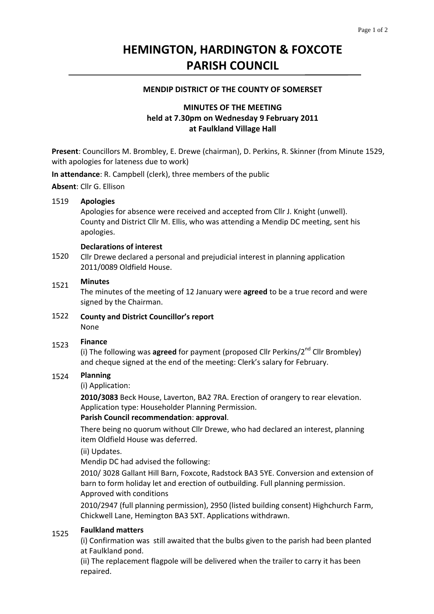# **HEMINGTON, HARDINGTON & FOXCOTE PARISH COUNCIL**

## **MENDIP DISTRICT OF THE COUNTY OF SOMERSET**

# **MINUTES OF THE MEETING held at 7.30pm on Wednesday 9 February 2011 at Faulkland Village Hall**

**Present**: Councillors M. Brombley, E. Drewe (chairman), D. Perkins, R. Skinner (from Minute 1529, with apologies for lateness due to work)

**In attendance**: R. Campbell (clerk), three members of the public

**Absent**: Cllr G. Ellison

#### 1519 **Apologies**

Apologies for absence were received and accepted from Cllr J. Knight (unwell). County and District Cllr M. Ellis, who was attending a Mendip DC meeting, sent his apologies.

### **Declarations of interest**

1520 Cllr Drewe declared a personal and prejudicial interest in planning application 2011/0089 Oldfield House.

#### 1521 **Minutes**

The minutes of the meeting of 12 January were **agreed** to be a true record and were signed by the Chairman.

1522 **County and District Councillor's report** None

#### 1523 **Finance**

(i) The following was **agreed** for payment (proposed Cllr Perkins/2<sup>nd</sup> Cllr Brombley) and cheque signed at the end of the meeting: Clerk's salary for February.

#### 1524 **Planning**

(i) Application:

**2010/3083** Beck House, Laverton, BA2 7RA. Erection of orangery to rear elevation. Application type: Householder Planning Permission.

# **Parish Council recommendation**: **approval**.

There being no quorum without Cllr Drewe, who had declared an interest, planning item Oldfield House was deferred.

(ii) Updates.

Mendip DC had advised the following:

2010/ 3028 Gallant Hill Barn, Foxcote, Radstock BA3 5YE. Conversion and extension of barn to form holiday let and erection of outbuilding. Full planning permission. Approved with conditions

2010/2947 (full planning permission), 2950 (listed building consent) Highchurch Farm, Chickwell Lane, Hemington BA3 5XT. Applications withdrawn.

#### 1525 **Faulkland matters**

(i) Confirmation was still awaited that the bulbs given to the parish had been planted at Faulkland pond.

(ii) The replacement flagpole will be delivered when the trailer to carry it has been repaired.